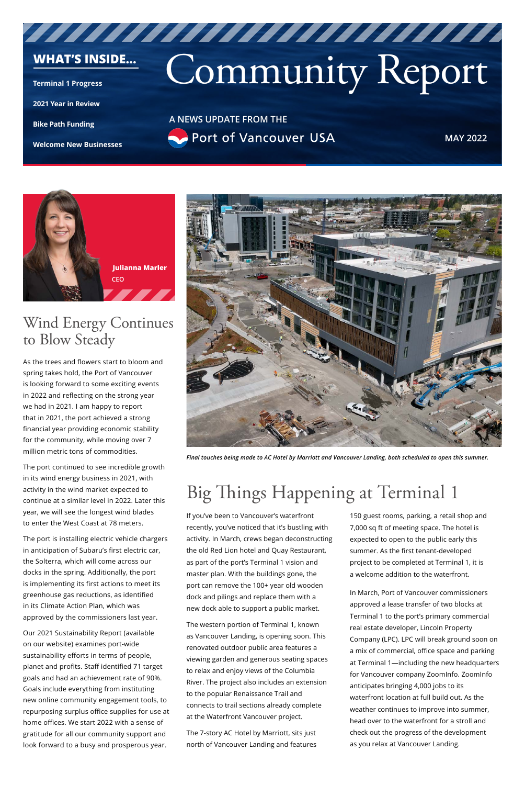# Community Report

**A NEWS UPDATE FROM THE** Port of Vancouver USA

**MAY 2022**

#### **WHAT'S INSIDE...**

**[Terminal 1 Progress](#page-0-0)**

**[2021 Year in Review](#page-2-0)**

**[Bike Path Funding](#page-1-0)**

**[Welcome New Businesses](#page-2-1)**

### Wind Energy Continues to Blow Steady

As the trees and flowers start to bloom and spring takes hold, the Port of Vancouver is looking forward to some exciting events in 2022 and reflecting on the strong year we had in 2021. I am happy to report that in 2021, the port achieved a strong financial year providing economic stability for the community, while moving over 7 million metric tons of commodities.

The port continued to see incredible growth in its wind energy business in 2021, with activity in the wind market expected to continue at a similar level in 2022. Later this year, we will see the longest wind blades to enter the West Coast at 78 meters.

The port is installing electric vehicle chargers in anticipation of Subaru's first electric car, the Solterra, which will come across our docks in the spring. Additionally, the port

is implementing its first actions to meet its greenhouse gas reductions, as identified in its Climate Action Plan, which was approved by the commissioners last year.

Our 2021 Sustainability Report (available on our website) examines port-wide sustainability efforts in terms of people, planet and profits. Staff identified 71 target goals and had an achievement rate of 90%. Goals include everything from instituting new online community engagement tools, to repurposing surplus office supplies for use at home offices. We start 2022 with a sense of gratitude for all our community support and look forward to a busy and prosperous year.

### <span id="page-0-0"></span>Big Things Happening at Terminal 1

If you've been to Vancouver's waterfront recently, you've noticed that it's bustling with activity. In March, crews began deconstructing the old Red Lion hotel and Quay Restaurant, as part of the port's Terminal 1 vision and master plan. With the buildings gone, the port can remove the 100+ year old wooden dock and pilings and replace them with a new dock able to support a public market.

The western portion of Terminal 1, known as Vancouver Landing, is opening soon. This renovated outdoor public area features a viewing garden and generous seating spaces to relax and enjoy views of the Columbia River. The project also includes an extension to the popular Renaissance Trail and connects to trail sections already complete at the Waterfront Vancouver project.

The 7-story AC Hotel by Marriott, sits just north of Vancouver Landing and features 150 guest rooms, parking, a retail shop and 7,000 sq ft of meeting space. The hotel is expected to open to the public early this summer. As the first tenant-developed project to be completed at Terminal 1, it is a welcome addition to the waterfront.

In March, Port of Vancouver commissioners approved a lease transfer of two blocks at Terminal 1 to the port's primary commercial real estate developer, Lincoln Property Company (LPC). LPC will break ground soon on a mix of commercial, office space and parking at Terminal 1—including the new headquarters for Vancouver company ZoomInfo. ZoomInfo anticipates bringing 4,000 jobs to its waterfront location at full build out. As the weather continues to improve into summer, head over to the waterfront for a stroll and check out the progress of the development as you relax at Vancouver Landing.



*Final touches being made to AC Hotel by Marriott and Vancouver Landing, both scheduled to open this summer.*

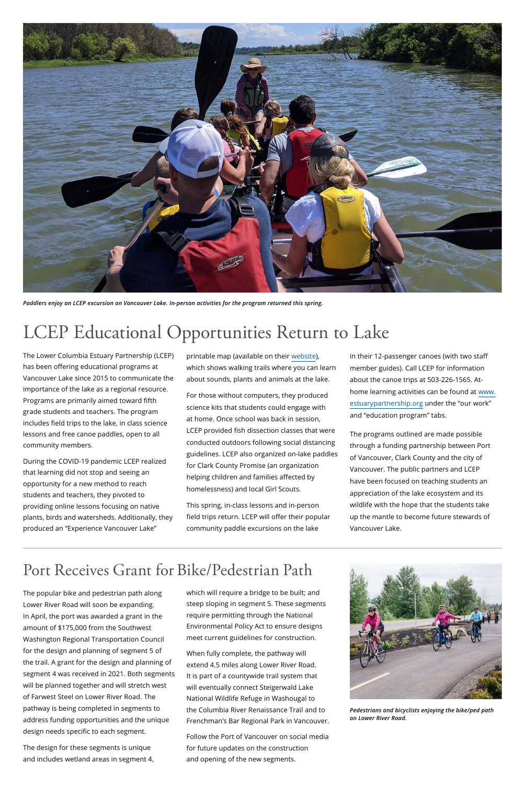### <span id="page-1-0"></span>Port Receives Grant for Bike/Pedestrian Path



The popular bike and pedestrian path along Lower River Road will soon be expanding. In April, the port was awarded a grant in the amount of \$175,000 from the Southwest Washington Regional Transportation Council for the design and planning of segment 5 of the trail. A grant for the design and planning of segment 4 was received in 2021. Both segments will be planned together and will stretch west of Farwest Steel on Lower River Road. The pathway is being completed in segments to address funding opportunities and the unique design needs specific to each segment.

The design for these segments is unique and includes wetland areas in segment 4, which will require a bridge to be built; and steep sloping in segment 5. These segments require permitting through the National Environmental Policy Act to ensure designs meet current guidelines for construction.

When fully complete, the pathway will extend 4.5 miles along Lower River Road. It is part of a countywide trail system that will eventually connect Steigerwald Lake National Wildlife Refuge in Washougal to the Columbia River Renaissance Trail and to Frenchman's Bar Regional Park in Vancouver.

Follow the Port of Vancouver on social media for future updates on the construction and opening of the new segments.

### LCEP Educational Opportunities Return to Lake

The Lower Columbia Estuary Partnership (LCEP) has been offering educational programs at Vancouver Lake since 2015 to communicate the importance of the lake as a regional resource. Programs are primarily aimed toward fifth grade students and teachers. The program includes field trips to the lake, in class science lessons and free canoe paddles, open to all community members.

During the COVID-19 pandemic LCEP realized that learning did not stop and seeing an opportunity for a new method to reach students and teachers, they pivoted to providing online lessons focusing on native plants, birds and watersheds. Additionally, they produced an "Experience Vancouver Lake"

printable map (available on their [website\)](https://www.estuarypartnership.org/water-trails/lewis-river-vancouver-lake-water-trail), which shows walking trails where you can learn about sounds, plants and animals at the lake.

For those without computers, they produced science kits that students could engage with at home. Once school was back in session, LCEP provided fish dissection classes that were conducted outdoors following social distancing guidelines. LCEP also organized on-lake paddles for Clark County Promise (an organization helping children and families affected by homelessness) and local Girl Scouts.

This spring, in-class lessons and in-person field trips return. LCEP will offer their popular community paddle excursions on the lake

in their 12-passenger canoes (with two staff member guides). Call LCEP for information about the canoe trips at 503-226-1565. Athome learning activities can be found at [www.](http://www.estuarypartnership.org) [estuarypartnership.org](http://www.estuarypartnership.org) under the "our work" and "education program" tabs.

The programs outlined are made possible through a funding partnership between Port of Vancouver, Clark County and the city of Vancouver. The public partners and LCEP have been focused on teaching students an appreciation of the lake ecosystem and its wildlife with the hope that the students take up the mantle to become future stewards of Vancouver Lake.



*Paddlers enjoy an LCEP excursion on Vancouver Lake. In-person activities for the program returned this spring.*

*Pedestrians and bicyclists enjoying the bike/ped path on Lower River Road.*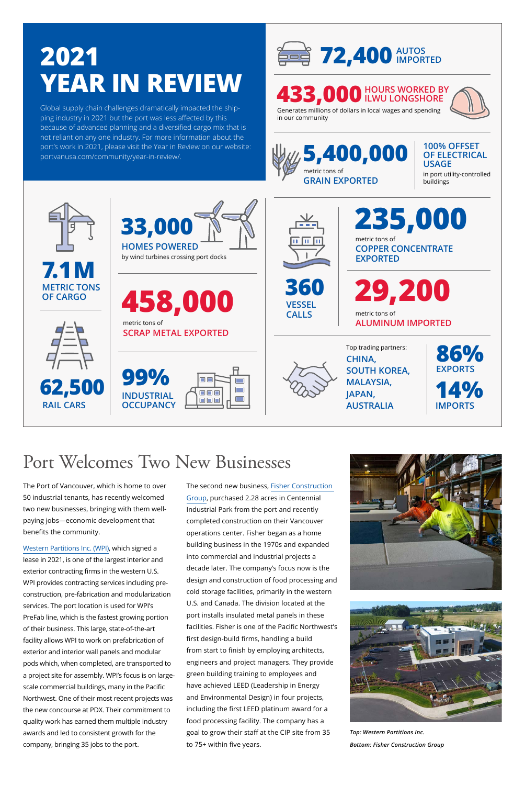### <span id="page-2-1"></span>Port Welcomes Two New Businesses

The Port of Vancouver, which is home to over 50 industrial tenants, has recently welcomed two new businesses, bringing with them wellpaying jobs—economic development that benefits the community.

[Western Partitions Inc. \(WPI\),](https://wpibuilds.com) which signed a lease in 2021, is one of the largest interior and exterior contracting firms in the western U.S.

WPI provides contracting services including preconstruction, pre-fabrication and modularization services. The port location is used for WPI's PreFab line, which is the fastest growing portion of their business. This large, state-of-the-art facility allows WPI to work on prefabrication of exterior and interior wall panels and modular pods which, when completed, are transported to a project site for assembly. WPI's focus is on largescale commercial buildings, many in the Pacific Northwest. One of their most recent projects was the new concourse at PDX. Their commitment to quality work has earned them multiple industry awards and led to consistent growth for the company, bringing 35 jobs to the port.

#### **433,000 HOURS WORKED BY ILWU LONGSHORE**



The second new business, [Fisher Construction](https://www.fishercgi.com)  [Group](https://www.fishercgi.com), purchased 2.28 acres in Centennial Industrial Park from the port and recently completed construction on their Vancouver operations center. Fisher began as a home building business in the 1970s and expanded into commercial and industrial projects a decade later. The company's focus now is the design and construction of food processing and cold storage facilities, primarily in the western U.S. and Canada. The division located at the port installs insulated metal panels in these facilities. Fisher is one of the Pacific Northwest's first design-build firms, handling a build from start to finish by employing architects, engineers and project managers. They provide green building training to employees and have achieved LEED (Leadership in Energy and Environmental Design) in four projects, including the first LEED platinum award for a food processing facility. The company has a goal to grow their staff at the CIP site from 35 to 75+ within five years.



*Top: Western Partitions Inc.*

*Bottom: Fisher Construction Group*

### <span id="page-2-0"></span>**2021 YEAR IN REVIEW**

**100% OFFSET OF ELECTRICAL USAGE**

in port utility-controlled buildings





Generates millions of dollars in local wages and spending in our community



Global supply chain challenges dramatically impacted the shipping industry in 2021 but the port was less affected by this because of advanced planning and a diversified cargo mix that is not reliant on any one industry. For more information about the [port's work in 2021, please visit the Year in Review on our website:](https://www.portvanusa.com/community/year-in-review/) portvanusa.com/community/year-in-review/.